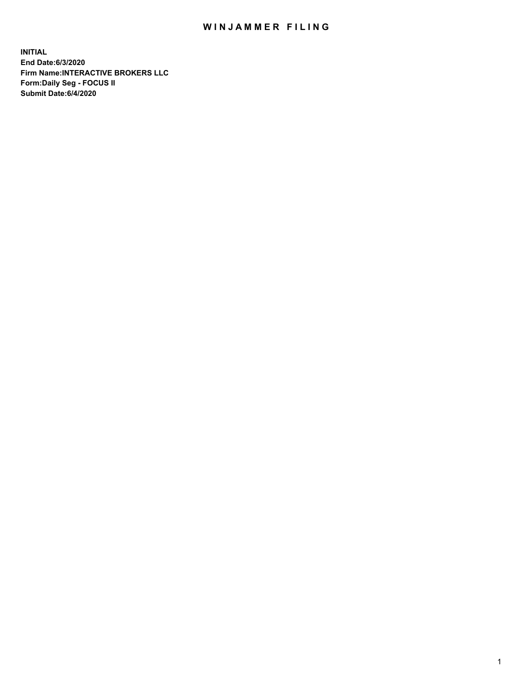## WIN JAMMER FILING

**INITIAL End Date:6/3/2020 Firm Name:INTERACTIVE BROKERS LLC Form:Daily Seg - FOCUS II Submit Date:6/4/2020**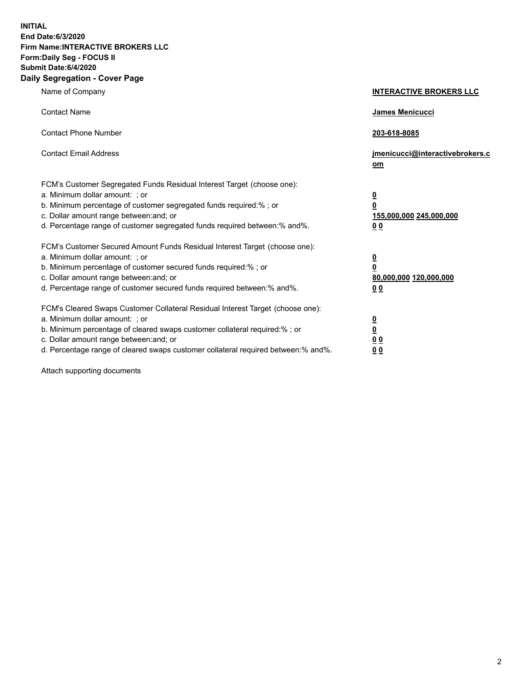**INITIAL End Date:6/3/2020 Firm Name:INTERACTIVE BROKERS LLC Form:Daily Seg - FOCUS II Submit Date:6/4/2020 Daily Segregation - Cover Page**

| Name of Company                                                                                                                                                                                                                                                                                                                | <b>INTERACTIVE BROKERS LLC</b>                                                      |
|--------------------------------------------------------------------------------------------------------------------------------------------------------------------------------------------------------------------------------------------------------------------------------------------------------------------------------|-------------------------------------------------------------------------------------|
| <b>Contact Name</b>                                                                                                                                                                                                                                                                                                            | James Menicucci                                                                     |
| <b>Contact Phone Number</b>                                                                                                                                                                                                                                                                                                    | 203-618-8085                                                                        |
| <b>Contact Email Address</b>                                                                                                                                                                                                                                                                                                   | jmenicucci@interactivebrokers.c<br>om                                               |
| FCM's Customer Segregated Funds Residual Interest Target (choose one):<br>a. Minimum dollar amount: ; or<br>b. Minimum percentage of customer segregated funds required:% ; or<br>c. Dollar amount range between: and; or<br>d. Percentage range of customer segregated funds required between:% and%.                         | $\overline{\mathbf{0}}$<br>$\overline{\mathbf{0}}$<br>155,000,000 245,000,000<br>00 |
| FCM's Customer Secured Amount Funds Residual Interest Target (choose one):<br>a. Minimum dollar amount: ; or<br>b. Minimum percentage of customer secured funds required:%; or<br>c. Dollar amount range between: and; or<br>d. Percentage range of customer secured funds required between:% and%.                            | $\overline{\mathbf{0}}$<br>$\pmb{0}$<br>80,000,000 120,000,000<br>00                |
| FCM's Cleared Swaps Customer Collateral Residual Interest Target (choose one):<br>a. Minimum dollar amount: ; or<br>b. Minimum percentage of cleared swaps customer collateral required:% ; or<br>c. Dollar amount range between: and; or<br>d. Percentage range of cleared swaps customer collateral required between:% and%. | $\overline{\mathbf{0}}$<br>$\underline{\mathbf{0}}$<br>0 <sub>0</sub><br>00         |

Attach supporting documents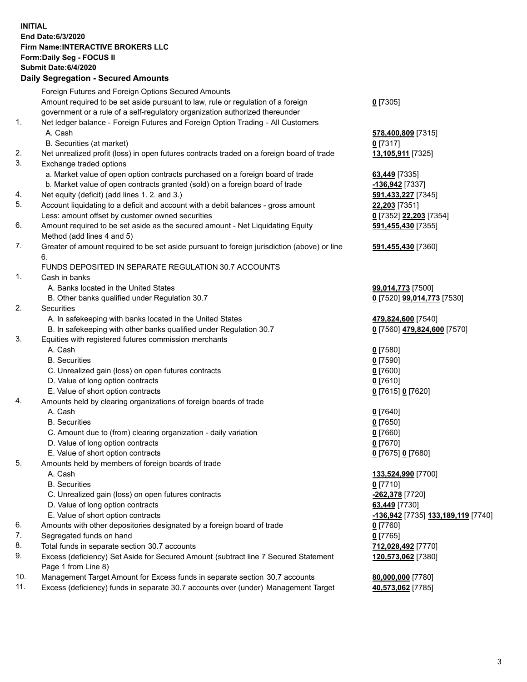## **INITIAL End Date:6/3/2020 Firm Name:INTERACTIVE BROKERS LLC Form:Daily Seg - FOCUS II Submit Date:6/4/2020 Daily Segregation - Secured Amounts**

|                | 00g.0gaaon 000a.0a7aoa                                                                                     |                                    |
|----------------|------------------------------------------------------------------------------------------------------------|------------------------------------|
|                | Foreign Futures and Foreign Options Secured Amounts                                                        |                                    |
|                | Amount required to be set aside pursuant to law, rule or regulation of a foreign                           | $0$ [7305]                         |
|                | government or a rule of a self-regulatory organization authorized thereunder                               |                                    |
| 1.             | Net ledger balance - Foreign Futures and Foreign Option Trading - All Customers                            |                                    |
|                | A. Cash                                                                                                    | 578,400,809 [7315]                 |
|                | B. Securities (at market)                                                                                  | $0$ [7317]                         |
| 2.             | Net unrealized profit (loss) in open futures contracts traded on a foreign board of trade                  | 13,105,911 [7325]                  |
| 3.             | Exchange traded options                                                                                    |                                    |
|                | a. Market value of open option contracts purchased on a foreign board of trade                             | 63,449 [7335]                      |
|                | b. Market value of open contracts granted (sold) on a foreign board of trade                               | -136,942 <sup>[7337]</sup>         |
| 4.             | Net equity (deficit) (add lines 1. 2. and 3.)                                                              | 591,433,227 [7345]                 |
| 5.             | Account liquidating to a deficit and account with a debit balances - gross amount                          | 22,203 [7351]                      |
|                | Less: amount offset by customer owned securities                                                           | 0 [7352] 22,203 [7354]             |
| 6.             | Amount required to be set aside as the secured amount - Net Liquidating Equity                             | 591,455,430 [7355]                 |
|                | Method (add lines 4 and 5)                                                                                 |                                    |
| 7.             | Greater of amount required to be set aside pursuant to foreign jurisdiction (above) or line<br>6.          | 591,455,430 [7360]                 |
|                | FUNDS DEPOSITED IN SEPARATE REGULATION 30.7 ACCOUNTS                                                       |                                    |
| $\mathbf{1}$ . | Cash in banks                                                                                              |                                    |
|                | A. Banks located in the United States                                                                      | 99,014,773 [7500]                  |
|                | B. Other banks qualified under Regulation 30.7                                                             | 0 [7520] 99,014,773 [7530]         |
| 2.             | Securities                                                                                                 |                                    |
|                | A. In safekeeping with banks located in the United States                                                  | 479,824,600 [7540]                 |
|                | B. In safekeeping with other banks qualified under Regulation 30.7                                         | 0 [7560] 479,824,600 [7570]        |
| 3.             | Equities with registered futures commission merchants                                                      |                                    |
|                | A. Cash                                                                                                    | $0$ [7580]                         |
|                | <b>B.</b> Securities                                                                                       | $0$ [7590]                         |
|                | C. Unrealized gain (loss) on open futures contracts                                                        | $0$ [7600]                         |
|                | D. Value of long option contracts                                                                          | $0$ [7610]                         |
|                | E. Value of short option contracts                                                                         | 0 [7615] 0 [7620]                  |
| 4.             | Amounts held by clearing organizations of foreign boards of trade                                          |                                    |
|                | A. Cash                                                                                                    | $0$ [7640]                         |
|                | <b>B.</b> Securities                                                                                       | $0$ [7650]                         |
|                | C. Amount due to (from) clearing organization - daily variation                                            | $0$ [7660]                         |
|                | D. Value of long option contracts                                                                          | $0$ [7670]                         |
|                | E. Value of short option contracts                                                                         | 0 [7675] 0 [7680]                  |
| 5.             | Amounts held by members of foreign boards of trade                                                         |                                    |
|                | A. Cash                                                                                                    | 133,524,990 [7700]                 |
|                | <b>B.</b> Securities                                                                                       | $0$ [7710]                         |
|                | C. Unrealized gain (loss) on open futures contracts                                                        | -262,378 [7720]                    |
|                | D. Value of long option contracts                                                                          | 63,449 [7730]                      |
|                | E. Value of short option contracts                                                                         | -136,942 [7735] 133,189,119 [7740] |
| 6.             | Amounts with other depositories designated by a foreign board of trade                                     | 0 [7760]                           |
| 7.             | Segregated funds on hand                                                                                   | $0$ [7765]                         |
| 8.             | Total funds in separate section 30.7 accounts                                                              | 712,028,492 [7770]                 |
| 9.             | Excess (deficiency) Set Aside for Secured Amount (subtract line 7 Secured Statement<br>Page 1 from Line 8) | 120,573,062 [7380]                 |
| 10.            | Management Target Amount for Excess funds in separate section 30.7 accounts                                | 80,000,000 [7780]                  |
| 11.            | Excess (deficiency) funds in separate 30.7 accounts over (under) Management Target                         | 40,573,062 [7785]                  |
|                |                                                                                                            |                                    |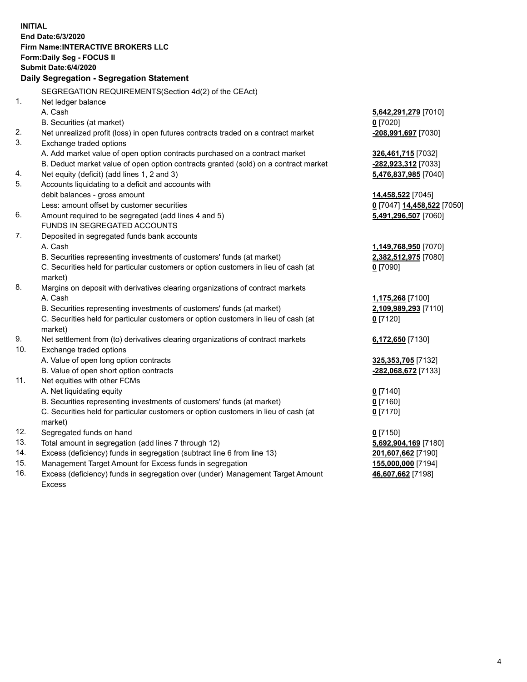**INITIAL End Date:6/3/2020 Firm Name:INTERACTIVE BROKERS LLC Form:Daily Seg - FOCUS II Submit Date:6/4/2020 Daily Segregation - Segregation Statement** SEGREGATION REQUIREMENTS(Section 4d(2) of the CEAct) 1. Net ledger balance A. Cash **5,642,291,279** [7010] B. Securities (at market) **0** [7020] 2. Net unrealized profit (loss) in open futures contracts traded on a contract market **-208,991,697** [7030] 3. Exchange traded options A. Add market value of open option contracts purchased on a contract market **326,461,715** [7032] B. Deduct market value of open option contracts granted (sold) on a contract market **-282,923,312** [7033] 4. Net equity (deficit) (add lines 1, 2 and 3) **5,476,837,985** [7040] 5. Accounts liquidating to a deficit and accounts with debit balances - gross amount **14,458,522** [7045] Less: amount offset by customer securities **0** [7047] **14,458,522** [7050] 6. Amount required to be segregated (add lines 4 and 5) **5,491,296,507** [7060] FUNDS IN SEGREGATED ACCOUNTS 7. Deposited in segregated funds bank accounts A. Cash **1,149,768,950** [7070] B. Securities representing investments of customers' funds (at market) **2,382,512,975** [7080] C. Securities held for particular customers or option customers in lieu of cash (at market) **0** [7090] 8. Margins on deposit with derivatives clearing organizations of contract markets A. Cash **1,175,268** [7100] B. Securities representing investments of customers' funds (at market) **2,109,989,293** [7110] C. Securities held for particular customers or option customers in lieu of cash (at market) **0** [7120] 9. Net settlement from (to) derivatives clearing organizations of contract markets **6,172,650** [7130] 10. Exchange traded options A. Value of open long option contracts **325,353,705** [7132] B. Value of open short option contracts **-282,068,672** [7133] 11. Net equities with other FCMs A. Net liquidating equity **0** [7140] B. Securities representing investments of customers' funds (at market) **0** [7160] C. Securities held for particular customers or option customers in lieu of cash (at market) **0** [7170] 12. Segregated funds on hand **0** [7150] 13. Total amount in segregation (add lines 7 through 12) **5,692,904,169** [7180] 14. Excess (deficiency) funds in segregation (subtract line 6 from line 13) **201,607,662** [7190] 15. Management Target Amount for Excess funds in segregation **155,000,000** [7194]

16. Excess (deficiency) funds in segregation over (under) Management Target Amount Excess

**46,607,662** [7198]